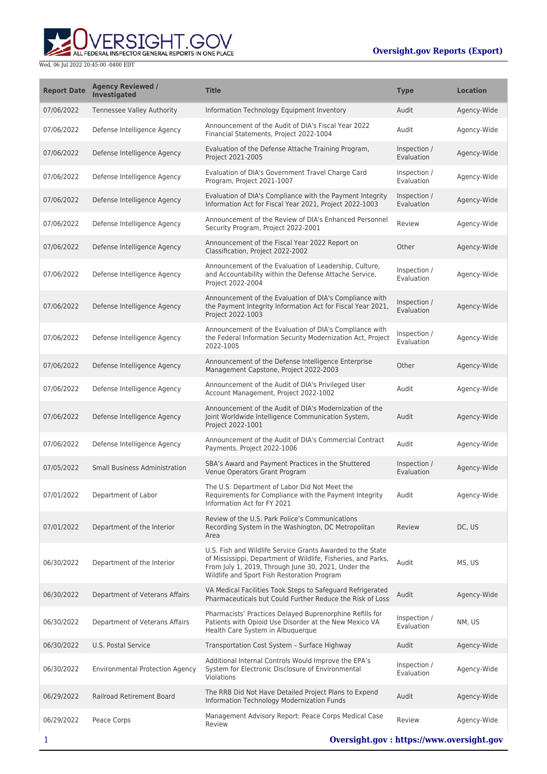ERSIGHT.GOV ALL FEDERAL INSPECTOR GENERAL REPORTS IN ONE PLACE

| <b>Report Date</b> | <b>Agency Reviewed /</b><br>Investigated | <b>Title</b>                                                                                                                                                                                                                      | <b>Type</b>                | <b>Location</b> |
|--------------------|------------------------------------------|-----------------------------------------------------------------------------------------------------------------------------------------------------------------------------------------------------------------------------------|----------------------------|-----------------|
| 07/06/2022         | Tennessee Valley Authority               | Information Technology Equipment Inventory                                                                                                                                                                                        | Audit                      | Agency-Wide     |
| 07/06/2022         | Defense Intelligence Agency              | Announcement of the Audit of DIA's Fiscal Year 2022<br>Financial Statements, Project 2022-1004                                                                                                                                    | Audit                      | Agency-Wide     |
| 07/06/2022         | Defense Intelligence Agency              | Evaluation of the Defense Attache Training Program,<br>Project 2021-2005                                                                                                                                                          | Inspection /<br>Evaluation | Agency-Wide     |
| 07/06/2022         | Defense Intelligence Agency              | Evaluation of DIA's Government Travel Charge Card<br>Program, Project 2021-1007                                                                                                                                                   | Inspection /<br>Evaluation | Agency-Wide     |
| 07/06/2022         | Defense Intelligence Agency              | Evaluation of DIA's Compliance with the Payment Integrity<br>Information Act for Fiscal Year 2021, Project 2022-1003                                                                                                              | Inspection /<br>Evaluation | Agency-Wide     |
| 07/06/2022         | Defense Intelligence Agency              | Announcement of the Review of DIA's Enhanced Personnel<br>Security Program, Project 2022-2001                                                                                                                                     | Review                     | Agency-Wide     |
| 07/06/2022         | Defense Intelligence Agency              | Announcement of the Fiscal Year 2022 Report on<br>Classification, Project 2022-2002                                                                                                                                               | Other                      | Agency-Wide     |
| 07/06/2022         | Defense Intelligence Agency              | Announcement of the Evaluation of Leadership, Culture,<br>and Accountability within the Defense Attache Service,<br>Project 2022-2004                                                                                             | Inspection /<br>Evaluation | Agency-Wide     |
| 07/06/2022         | Defense Intelligence Agency              | Announcement of the Evaluation of DIA's Compliance with<br>the Payment Integrity Information Act for Fiscal Year 2021,<br>Project 2022-1003                                                                                       | Inspection /<br>Evaluation | Agency-Wide     |
| 07/06/2022         | Defense Intelligence Agency              | Announcement of the Evaluation of DIA's Compliance with<br>the Federal Information Security Modernization Act, Project<br>2022-1005                                                                                               | Inspection /<br>Evaluation | Agency-Wide     |
| 07/06/2022         | Defense Intelligence Agency              | Announcement of the Defense Intelligence Enterprise<br>Management Capstone, Project 2022-2003                                                                                                                                     | Other                      | Agency-Wide     |
| 07/06/2022         | Defense Intelligence Agency              | Announcement of the Audit of DIA's Privileged User<br>Account Management, Project 2022-1002                                                                                                                                       | Audit                      | Agency-Wide     |
| 07/06/2022         | Defense Intelligence Agency              | Announcement of the Audit of DIA's Modernization of the<br>Joint Worldwide Intelligence Communication System,<br>Project 2022-1001                                                                                                | Audit                      | Agency-Wide     |
| 07/06/2022         | Defense Intelligence Agency              | Announcement of the Audit of DIA's Commercial Contract<br>Payments, Project 2022-1006                                                                                                                                             | Audit                      | Agency-Wide     |
| 07/05/2022         | Small Business Administration            | SBA's Award and Payment Practices in the Shuttered<br>Venue Operators Grant Program                                                                                                                                               | Inspection /<br>Evaluation | Agency-Wide     |
| 07/01/2022         | Department of Labor                      | The U.S. Department of Labor Did Not Meet the<br>Requirements for Compliance with the Payment Integrity<br>Information Act for FY 2021                                                                                            | Audit                      | Agency-Wide     |
| 07/01/2022         | Department of the Interior               | Review of the U.S. Park Police's Communications<br>Recording System in the Washington, DC Metropolitan<br>Area                                                                                                                    | Review                     | DC, US          |
| 06/30/2022         | Department of the Interior               | U.S. Fish and Wildlife Service Grants Awarded to the State<br>of Mississippi, Department of Wildlife, Fisheries, and Parks,<br>From July 1, 2019, Through June 30, 2021, Under the<br>Wildlife and Sport Fish Restoration Program | Audit                      | MS, US          |
| 06/30/2022         | Department of Veterans Affairs           | VA Medical Facilities Took Steps to Safeguard Refrigerated<br>Pharmaceuticals but Could Further Reduce the Risk of Loss                                                                                                           | Audit                      | Agency-Wide     |
| 06/30/2022         | Department of Veterans Affairs           | Pharmacists' Practices Delayed Buprenorphine Refills for<br>Patients with Opioid Use Disorder at the New Mexico VA<br>Health Care System in Albuquerque                                                                           | Inspection /<br>Evaluation | NM, US          |
| 06/30/2022         | U.S. Postal Service                      | Transportation Cost System - Surface Highway                                                                                                                                                                                      | Audit                      | Agency-Wide     |
| 06/30/2022         | <b>Environmental Protection Agency</b>   | Additional Internal Controls Would Improve the EPA's<br>System for Electronic Disclosure of Environmental<br>Violations                                                                                                           | Inspection /<br>Evaluation | Agency-Wide     |
| 06/29/2022         | Railroad Retirement Board                | The RRB Did Not Have Detailed Project Plans to Expend<br>Information Technology Modernization Funds                                                                                                                               | Audit                      | Agency-Wide     |
| 06/29/2022         | Peace Corps                              | Management Advisory Report: Peace Corps Medical Case<br>Review                                                                                                                                                                    | Review                     | Agency-Wide     |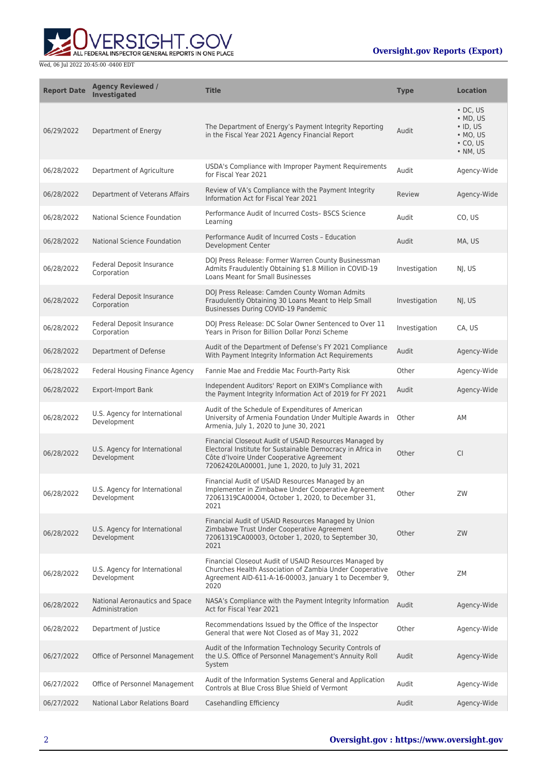**WERSIGHT.GOV** 

| <b>Report Date</b> | <b>Agency Reviewed /</b><br><b>Investigated</b>  | <b>Title</b>                                                                                                                                                                                                         | <b>Type</b>   | <b>Location</b>                                                                                                |
|--------------------|--------------------------------------------------|----------------------------------------------------------------------------------------------------------------------------------------------------------------------------------------------------------------------|---------------|----------------------------------------------------------------------------------------------------------------|
| 06/29/2022         | Department of Energy                             | The Department of Energy's Payment Integrity Reporting<br>in the Fiscal Year 2021 Agency Financial Report                                                                                                            | Audit         | $\cdot$ DC. US<br>$\bullet$ MD, US<br>$\cdot$ ID, US<br>$\bullet$ MO, US<br>$\cdot$ CO, US<br>$\bullet$ NM, US |
| 06/28/2022         | Department of Agriculture                        | USDA's Compliance with Improper Payment Requirements<br>for Fiscal Year 2021                                                                                                                                         | Audit         | Agency-Wide                                                                                                    |
| 06/28/2022         | Department of Veterans Affairs                   | Review of VA's Compliance with the Payment Integrity<br>Information Act for Fiscal Year 2021                                                                                                                         | Review        | Agency-Wide                                                                                                    |
| 06/28/2022         | National Science Foundation                      | Performance Audit of Incurred Costs- BSCS Science<br>Learning                                                                                                                                                        | Audit         | CO, US                                                                                                         |
| 06/28/2022         | National Science Foundation                      | Performance Audit of Incurred Costs - Education<br>Development Center                                                                                                                                                | Audit         | MA, US                                                                                                         |
| 06/28/2022         | Federal Deposit Insurance<br>Corporation         | DOJ Press Release: Former Warren County Businessman<br>Admits Fraudulently Obtaining \$1.8 Million in COVID-19<br>Loans Meant for Small Businesses                                                                   | Investigation | NJ, US                                                                                                         |
| 06/28/2022         | <b>Federal Deposit Insurance</b><br>Corporation  | DOJ Press Release: Camden County Woman Admits<br>Fraudulently Obtaining 30 Loans Meant to Help Small<br>Businesses During COVID-19 Pandemic                                                                          | Investigation | NJ, US                                                                                                         |
| 06/28/2022         | Federal Deposit Insurance<br>Corporation         | DOJ Press Release: DC Solar Owner Sentenced to Over 11<br>Years in Prison for Billion Dollar Ponzi Scheme                                                                                                            | Investigation | CA, US                                                                                                         |
| 06/28/2022         | Department of Defense                            | Audit of the Department of Defense's FY 2021 Compliance<br>With Payment Integrity Information Act Requirements                                                                                                       | Audit         | Agency-Wide                                                                                                    |
| 06/28/2022         | Federal Housing Finance Agency                   | Fannie Mae and Freddie Mac Fourth-Party Risk                                                                                                                                                                         | Other         | Agency-Wide                                                                                                    |
| 06/28/2022         | Export-Import Bank                               | Independent Auditors' Report on EXIM's Compliance with<br>the Payment Integrity Information Act of 2019 for FY 2021                                                                                                  | Audit         | Agency-Wide                                                                                                    |
| 06/28/2022         | U.S. Agency for International<br>Development     | Audit of the Schedule of Expenditures of American<br>University of Armenia Foundation Under Multiple Awards in<br>Armenia, July 1, 2020 to June 30, 2021                                                             | Other         | AM                                                                                                             |
| 06/28/2022         | U.S. Agency for International<br>Development     | Financial Closeout Audit of USAID Resources Managed by<br>Electoral Institute for Sustainable Democracy in Africa in<br>Côte d'Ivoire Under Cooperative Agreement<br>72062420LA00001, June 1, 2020, to July 31, 2021 | Other         | <b>CI</b>                                                                                                      |
| 06/28/2022         | U.S. Agency for International<br>Development     | Financial Audit of USAID Resources Managed by an<br>Implementer in Zimbabwe Under Cooperative Agreement<br>72061319CA00004, October 1, 2020, to December 31,<br>2021                                                 | Other         | ZW                                                                                                             |
| 06/28/2022         | U.S. Agency for International<br>Development     | Financial Audit of USAID Resources Managed by Union<br>Zimbabwe Trust Under Cooperative Agreement<br>72061319CA00003, October 1, 2020, to September 30,<br>2021                                                      | Other         | ZW                                                                                                             |
| 06/28/2022         | U.S. Agency for International<br>Development     | Financial Closeout Audit of USAID Resources Managed by<br>Churches Health Association of Zambia Under Cooperative<br>Agreement AID-611-A-16-00003, January 1 to December 9,<br>2020                                  | Other         | ZΜ                                                                                                             |
| 06/28/2022         | National Aeronautics and Space<br>Administration | NASA's Compliance with the Payment Integrity Information<br>Act for Fiscal Year 2021                                                                                                                                 | Audit         | Agency-Wide                                                                                                    |
| 06/28/2022         | Department of Justice                            | Recommendations Issued by the Office of the Inspector<br>General that were Not Closed as of May 31, 2022                                                                                                             | Other         | Agency-Wide                                                                                                    |
| 06/27/2022         | Office of Personnel Management                   | Audit of the Information Technology Security Controls of<br>the U.S. Office of Personnel Management's Annuity Roll<br>System                                                                                         | Audit         | Agency-Wide                                                                                                    |
| 06/27/2022         | Office of Personnel Management                   | Audit of the Information Systems General and Application<br>Controls at Blue Cross Blue Shield of Vermont                                                                                                            | Audit         | Agency-Wide                                                                                                    |
| 06/27/2022         | National Labor Relations Board                   | Casehandling Efficiency                                                                                                                                                                                              | Audit         | Agency-Wide                                                                                                    |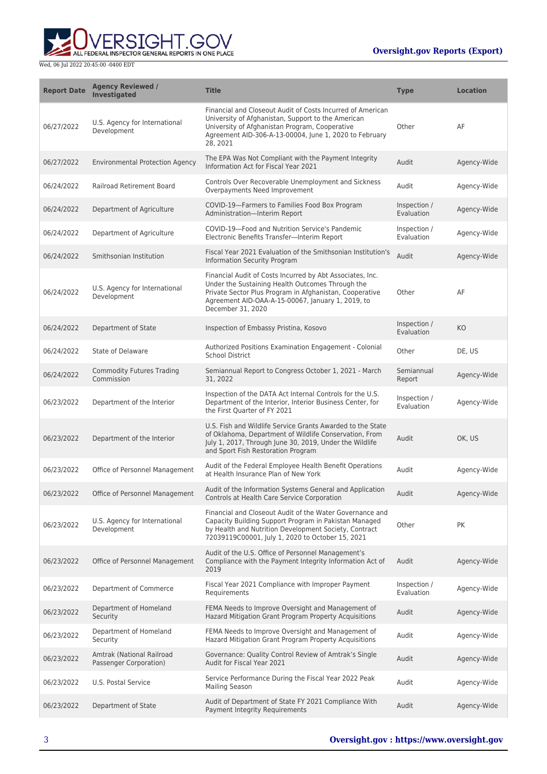

| <b>Report Date</b> | <b>Agency Reviewed /</b><br><b>Investigated</b>     | <b>Title</b>                                                                                                                                                                                                                                       | <b>Type</b>                | <b>Location</b> |
|--------------------|-----------------------------------------------------|----------------------------------------------------------------------------------------------------------------------------------------------------------------------------------------------------------------------------------------------------|----------------------------|-----------------|
| 06/27/2022         | U.S. Agency for International<br>Development        | Financial and Closeout Audit of Costs Incurred of American<br>University of Afghanistan, Support to the American<br>University of Afghanistan Program, Cooperative<br>Agreement AID-306-A-13-00004, June 1, 2020 to February<br>28.2021            | Other                      | AF              |
| 06/27/2022         | <b>Environmental Protection Agency</b>              | The EPA Was Not Compliant with the Payment Integrity<br>Information Act for Fiscal Year 2021                                                                                                                                                       | Audit                      | Agency-Wide     |
| 06/24/2022         | Railroad Retirement Board                           | Controls Over Recoverable Unemployment and Sickness<br>Overpayments Need Improvement                                                                                                                                                               | Audit                      | Agency-Wide     |
| 06/24/2022         | Department of Agriculture                           | COVID-19-Farmers to Families Food Box Program<br>Administration-Interim Report                                                                                                                                                                     | Inspection /<br>Evaluation | Agency-Wide     |
| 06/24/2022         | Department of Agriculture                           | COVID-19-Food and Nutrition Service's Pandemic<br>Electronic Benefits Transfer-Interim Report                                                                                                                                                      | Inspection /<br>Evaluation | Agency-Wide     |
| 06/24/2022         | Smithsonian Institution                             | Fiscal Year 2021 Evaluation of the Smithsonian Institution's<br><b>Information Security Program</b>                                                                                                                                                | Audit                      | Agency-Wide     |
| 06/24/2022         | U.S. Agency for International<br>Development        | Financial Audit of Costs Incurred by Abt Associates, Inc.<br>Under the Sustaining Health Outcomes Through the<br>Private Sector Plus Program in Afghanistan, Cooperative<br>Agreement AID-OAA-A-15-00067, January 1, 2019, to<br>December 31, 2020 | Other                      | AF              |
| 06/24/2022         | Department of State                                 | Inspection of Embassy Pristina, Kosovo                                                                                                                                                                                                             | Inspection /<br>Evaluation | KO              |
| 06/24/2022         | State of Delaware                                   | Authorized Positions Examination Engagement - Colonial<br>School District                                                                                                                                                                          | Other                      | DE, US          |
| 06/24/2022         | <b>Commodity Futures Trading</b><br>Commission      | Semiannual Report to Congress October 1, 2021 - March<br>31, 2022                                                                                                                                                                                  | Semiannual<br>Report       | Agency-Wide     |
| 06/23/2022         | Department of the Interior                          | Inspection of the DATA Act Internal Controls for the U.S.<br>Department of the Interior, Interior Business Center, for<br>the First Quarter of FY 2021                                                                                             | Inspection /<br>Evaluation | Agency-Wide     |
| 06/23/2022         | Department of the Interior                          | U.S. Fish and Wildlife Service Grants Awarded to the State<br>of Oklahoma, Department of Wildlife Conservation, From<br>July 1, 2017, Through June 30, 2019, Under the Wildlife<br>and Sport Fish Restoration Program                              | Audit                      | OK, US          |
| 06/23/2022         | Office of Personnel Management                      | Audit of the Federal Employee Health Benefit Operations<br>at Health Insurance Plan of New York                                                                                                                                                    | Audit                      | Agency-Wide     |
| 06/23/2022         | Office of Personnel Management                      | Audit of the Information Systems General and Application<br>Controls at Health Care Service Corporation                                                                                                                                            | Audit                      | Agency-Wide     |
| 06/23/2022         | U.S. Agency for International<br>Development        | Financial and Closeout Audit of the Water Governance and<br>Capacity Building Support Program in Pakistan Managed<br>by Health and Nutrition Development Society, Contract<br>72039119C00001, July 1, 2020 to October 15, 2021                     | Other                      | PK              |
| 06/23/2022         | Office of Personnel Management                      | Audit of the U.S. Office of Personnel Management's<br>Compliance with the Payment Integrity Information Act of<br>2019                                                                                                                             | Audit                      | Agency-Wide     |
| 06/23/2022         | Department of Commerce                              | Fiscal Year 2021 Compliance with Improper Payment<br>Requirements                                                                                                                                                                                  | Inspection /<br>Evaluation | Agency-Wide     |
| 06/23/2022         | Department of Homeland<br>Security                  | FEMA Needs to Improve Oversight and Management of<br>Hazard Mitigation Grant Program Property Acquisitions                                                                                                                                         | Audit                      | Agency-Wide     |
| 06/23/2022         | Department of Homeland<br>Security                  | FEMA Needs to Improve Oversight and Management of<br>Hazard Mitigation Grant Program Property Acquisitions                                                                                                                                         | Audit                      | Agency-Wide     |
| 06/23/2022         | Amtrak (National Railroad<br>Passenger Corporation) | Governance: Quality Control Review of Amtrak's Single<br>Audit for Fiscal Year 2021                                                                                                                                                                | Audit                      | Agency-Wide     |
| 06/23/2022         | U.S. Postal Service                                 | Service Performance During the Fiscal Year 2022 Peak<br><b>Mailing Season</b>                                                                                                                                                                      | Audit                      | Agency-Wide     |
| 06/23/2022         | Department of State                                 | Audit of Department of State FY 2021 Compliance With<br>Payment Integrity Requirements                                                                                                                                                             | Audit                      | Agency-Wide     |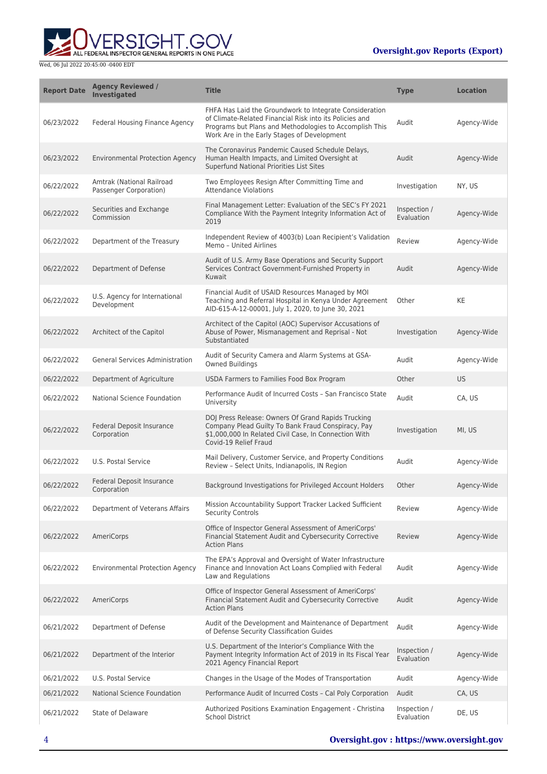ALL FEDERAL INSPECTOR GENERAL REPORTS IN ONE PLACE

| <b>Report Date</b> | <b>Agency Reviewed /</b><br><b>Investigated</b>     | <b>Title</b>                                                                                                                                                                                                                 | <b>Type</b>                | <b>Location</b> |
|--------------------|-----------------------------------------------------|------------------------------------------------------------------------------------------------------------------------------------------------------------------------------------------------------------------------------|----------------------------|-----------------|
| 06/23/2022         | Federal Housing Finance Agency                      | FHFA Has Laid the Groundwork to Integrate Consideration<br>of Climate-Related Financial Risk into its Policies and<br>Programs but Plans and Methodologies to Accomplish This<br>Work Are in the Early Stages of Development | Audit                      | Agency-Wide     |
| 06/23/2022         | <b>Environmental Protection Agency</b>              | The Coronavirus Pandemic Caused Schedule Delays,<br>Human Health Impacts, and Limited Oversight at<br>Superfund National Priorities List Sites                                                                               | Audit                      | Agency-Wide     |
| 06/22/2022         | Amtrak (National Railroad<br>Passenger Corporation) | Two Employees Resign After Committing Time and<br><b>Attendance Violations</b>                                                                                                                                               | Investigation              | NY, US          |
| 06/22/2022         | Securities and Exchange<br>Commission               | Final Management Letter: Evaluation of the SEC's FY 2021<br>Compliance With the Payment Integrity Information Act of<br>2019                                                                                                 | Inspection /<br>Evaluation | Agency-Wide     |
| 06/22/2022         | Department of the Treasury                          | Independent Review of 4003(b) Loan Recipient's Validation<br>Memo - United Airlines                                                                                                                                          | Review                     | Agency-Wide     |
| 06/22/2022         | Department of Defense                               | Audit of U.S. Army Base Operations and Security Support<br>Services Contract Government-Furnished Property in<br>Kuwait                                                                                                      | Audit                      | Agency-Wide     |
| 06/22/2022         | U.S. Agency for International<br>Development        | Financial Audit of USAID Resources Managed by MOI<br>Teaching and Referral Hospital in Kenya Under Agreement<br>AID-615-A-12-00001, July 1, 2020, to June 30, 2021                                                           | Other                      | KE              |
| 06/22/2022         | Architect of the Capitol                            | Architect of the Capitol (AOC) Supervisor Accusations of<br>Abuse of Power, Mismanagement and Reprisal - Not<br>Substantiated                                                                                                | Investigation              | Agency-Wide     |
| 06/22/2022         | <b>General Services Administration</b>              | Audit of Security Camera and Alarm Systems at GSA-<br>Owned Buildings                                                                                                                                                        | Audit                      | Agency-Wide     |
| 06/22/2022         | Department of Agriculture                           | USDA Farmers to Families Food Box Program                                                                                                                                                                                    | Other                      | <b>US</b>       |
| 06/22/2022         | National Science Foundation                         | Performance Audit of Incurred Costs - San Francisco State<br>University                                                                                                                                                      | Audit                      | CA, US          |
| 06/22/2022         | Federal Deposit Insurance<br>Corporation            | DOJ Press Release: Owners Of Grand Rapids Trucking<br>Company Plead Guilty To Bank Fraud Conspiracy, Pay<br>\$1,000,000 In Related Civil Case, In Connection With<br>Covid-19 Relief Fraud                                   | Investigation              | MI, US          |
| 06/22/2022         | U.S. Postal Service                                 | Mail Delivery, Customer Service, and Property Conditions<br>Review - Select Units, Indianapolis, IN Region                                                                                                                   | Audit                      | Agency-Wide     |
| 06/22/2022         | Federal Deposit Insurance<br>Corporation            | Background Investigations for Privileged Account Holders                                                                                                                                                                     | Other                      | Agency-Wide     |
| 06/22/2022         | Department of Veterans Affairs                      | Mission Accountability Support Tracker Lacked Sufficient<br><b>Security Controls</b>                                                                                                                                         | Review                     | Agency-Wide     |
| 06/22/2022         | AmeriCorps                                          | Office of Inspector General Assessment of AmeriCorps'<br>Financial Statement Audit and Cybersecurity Corrective<br><b>Action Plans</b>                                                                                       | Review                     | Agency-Wide     |
| 06/22/2022         | <b>Environmental Protection Agency</b>              | The EPA's Approval and Oversight of Water Infrastructure<br>Finance and Innovation Act Loans Complied with Federal<br>Law and Regulations                                                                                    | Audit                      | Agency-Wide     |
| 06/22/2022         | AmeriCorps                                          | Office of Inspector General Assessment of AmeriCorps'<br>Financial Statement Audit and Cybersecurity Corrective<br><b>Action Plans</b>                                                                                       | Audit                      | Agency-Wide     |
| 06/21/2022         | Department of Defense                               | Audit of the Development and Maintenance of Department<br>of Defense Security Classification Guides                                                                                                                          | Audit                      | Agency-Wide     |
| 06/21/2022         | Department of the Interior                          | U.S. Department of the Interior's Compliance With the<br>Payment Integrity Information Act of 2019 in Its Fiscal Year<br>2021 Agency Financial Report                                                                        | Inspection /<br>Evaluation | Agency-Wide     |
| 06/21/2022         | U.S. Postal Service                                 | Changes in the Usage of the Modes of Transportation                                                                                                                                                                          | Audit                      | Agency-Wide     |
| 06/21/2022         | National Science Foundation                         | Performance Audit of Incurred Costs - Cal Poly Corporation                                                                                                                                                                   | Audit                      | CA, US          |
| 06/21/2022         | State of Delaware                                   | Authorized Positions Examination Engagement - Christina<br><b>School District</b>                                                                                                                                            | Inspection /<br>Evaluation | DE, US          |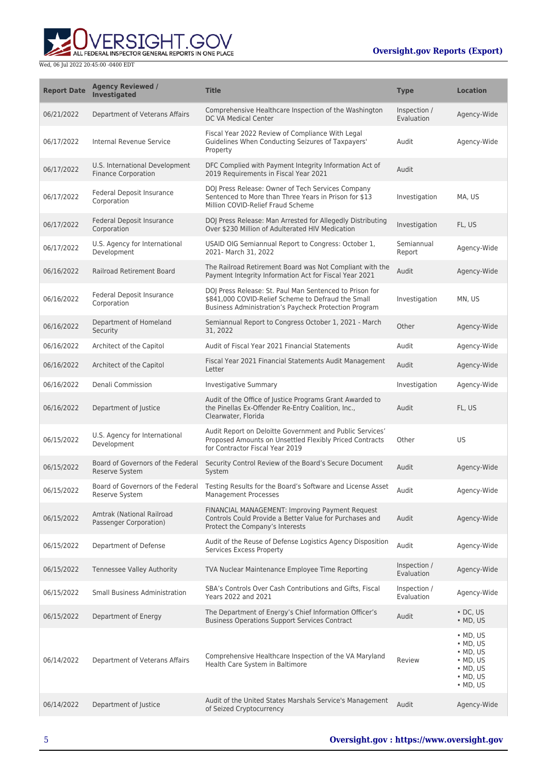ERSIGHT.GOV ALL FEDERAL INSPECTOR GENERAL REPORTS IN ONE PLACE

| <b>Report Date</b> | <b>Agency Reviewed /</b><br><b>Investigated</b>              | <b>Title</b>                                                                                                                                                           | <b>Type</b>                | <b>Location</b>                                                                                                                          |
|--------------------|--------------------------------------------------------------|------------------------------------------------------------------------------------------------------------------------------------------------------------------------|----------------------------|------------------------------------------------------------------------------------------------------------------------------------------|
| 06/21/2022         | Department of Veterans Affairs                               | Comprehensive Healthcare Inspection of the Washington<br>DC VA Medical Center                                                                                          | Inspection /<br>Evaluation | Agency-Wide                                                                                                                              |
| 06/17/2022         | Internal Revenue Service                                     | Fiscal Year 2022 Review of Compliance With Legal<br>Guidelines When Conducting Seizures of Taxpayers'<br>Property                                                      | Audit                      | Agency-Wide                                                                                                                              |
| 06/17/2022         | U.S. International Development<br><b>Finance Corporation</b> | DFC Complied with Payment Integrity Information Act of<br>2019 Requirements in Fiscal Year 2021                                                                        | Audit                      |                                                                                                                                          |
| 06/17/2022         | Federal Deposit Insurance<br>Corporation                     | DOJ Press Release: Owner of Tech Services Company<br>Sentenced to More than Three Years in Prison for \$13<br>Million COVID-Relief Fraud Scheme                        | Investigation              | MA, US                                                                                                                                   |
| 06/17/2022         | <b>Federal Deposit Insurance</b><br>Corporation              | DOJ Press Release: Man Arrested for Allegedly Distributing<br>Over \$230 Million of Adulterated HIV Medication                                                         | Investigation              | FL, US                                                                                                                                   |
| 06/17/2022         | U.S. Agency for International<br>Development                 | USAID OIG Semiannual Report to Congress: October 1,<br>2021- March 31, 2022                                                                                            | Semiannual<br>Report       | Agency-Wide                                                                                                                              |
| 06/16/2022         | Railroad Retirement Board                                    | The Railroad Retirement Board was Not Compliant with the<br>Payment Integrity Information Act for Fiscal Year 2021                                                     | Audit                      | Agency-Wide                                                                                                                              |
| 06/16/2022         | Federal Deposit Insurance<br>Corporation                     | DOJ Press Release: St. Paul Man Sentenced to Prison for<br>\$841,000 COVID-Relief Scheme to Defraud the Small<br>Business Administration's Paycheck Protection Program | Investigation              | MN, US                                                                                                                                   |
| 06/16/2022         | Department of Homeland<br>Security                           | Semiannual Report to Congress October 1, 2021 - March<br>31, 2022                                                                                                      | Other                      | Agency-Wide                                                                                                                              |
| 06/16/2022         | Architect of the Capitol                                     | Audit of Fiscal Year 2021 Financial Statements                                                                                                                         | Audit                      | Agency-Wide                                                                                                                              |
| 06/16/2022         | Architect of the Capitol                                     | Fiscal Year 2021 Financial Statements Audit Management<br>Letter                                                                                                       | Audit                      | Agency-Wide                                                                                                                              |
| 06/16/2022         | Denali Commission                                            | Investigative Summary                                                                                                                                                  | Investigation              | Agency-Wide                                                                                                                              |
| 06/16/2022         | Department of Justice                                        | Audit of the Office of Justice Programs Grant Awarded to<br>the Pinellas Ex-Offender Re-Entry Coalition, Inc.,<br>Clearwater, Florida                                  | Audit                      | FL, US                                                                                                                                   |
| 06/15/2022         | U.S. Agency for International<br>Development                 | Audit Report on Deloitte Government and Public Services'<br>Proposed Amounts on Unsettled Flexibly Priced Contracts<br>for Contractor Fiscal Year 2019                 | Other                      | US                                                                                                                                       |
| 06/15/2022         | Board of Governors of the Federal<br>Reserve System          | Security Control Review of the Board's Secure Document<br>System                                                                                                       | Audit                      | Agency-Wide                                                                                                                              |
| 06/15/2022         | Board of Governors of the Federal<br>Reserve System          | Testing Results for the Board's Software and License Asset<br>Management Processes                                                                                     | Audit                      | Agency-Wide                                                                                                                              |
| 06/15/2022         | Amtrak (National Railroad<br>Passenger Corporation)          | FINANCIAL MANAGEMENT: Improving Payment Request<br>Controls Could Provide a Better Value for Purchases and<br>Protect the Company's Interests                          | Audit                      | Agency-Wide                                                                                                                              |
| 06/15/2022         | Department of Defense                                        | Audit of the Reuse of Defense Logistics Agency Disposition<br>Services Excess Property                                                                                 | Audit                      | Agency-Wide                                                                                                                              |
| 06/15/2022         | Tennessee Valley Authority                                   | TVA Nuclear Maintenance Employee Time Reporting                                                                                                                        | Inspection /<br>Evaluation | Agency-Wide                                                                                                                              |
| 06/15/2022         | <b>Small Business Administration</b>                         | SBA's Controls Over Cash Contributions and Gifts, Fiscal<br>Years 2022 and 2021                                                                                        | Inspection /<br>Evaluation | Agency-Wide                                                                                                                              |
| 06/15/2022         | Department of Energy                                         | The Department of Energy's Chief Information Officer's<br><b>Business Operations Support Services Contract</b>                                                         | Audit                      | $\cdot$ DC, US<br>$\bullet$ MD, US                                                                                                       |
| 06/14/2022         | Department of Veterans Affairs                               | Comprehensive Healthcare Inspection of the VA Maryland<br>Health Care System in Baltimore                                                                              | Review                     | $\bullet$ MD, US<br>$\bullet$ MD, US<br>$\bullet$ MD, US<br>$\bullet$ MD, US<br>$\bullet$ MD, US<br>$\bullet$ MD, US<br>$\bullet$ MD, US |
| 06/14/2022         | Department of Justice                                        | Audit of the United States Marshals Service's Management<br>of Seized Cryptocurrency                                                                                   | Audit                      | Agency-Wide                                                                                                                              |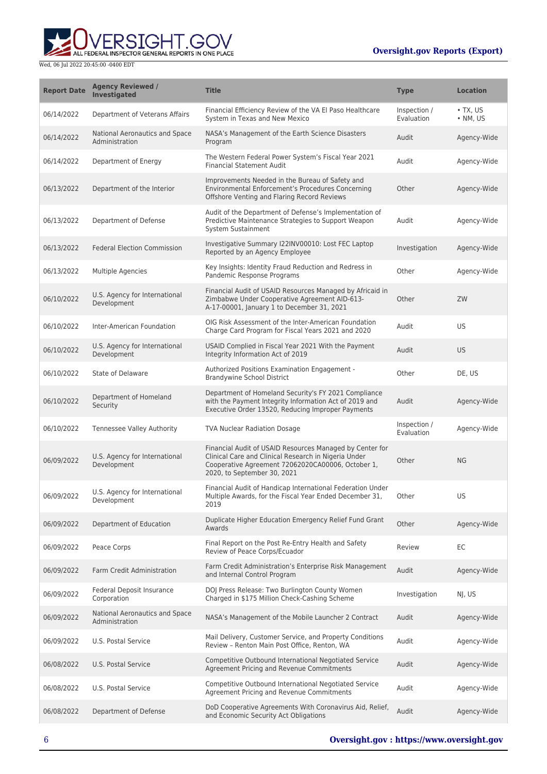

| <b>Report Date</b> | <b>Agency Reviewed /</b><br><b>Investigated</b>  | <b>Title</b>                                                                                                                                                                                         | <b>Type</b>                | <b>Location</b>                    |
|--------------------|--------------------------------------------------|------------------------------------------------------------------------------------------------------------------------------------------------------------------------------------------------------|----------------------------|------------------------------------|
| 06/14/2022         | Department of Veterans Affairs                   | Financial Efficiency Review of the VA El Paso Healthcare<br>System in Texas and New Mexico                                                                                                           | Inspection /<br>Evaluation | $\cdot$ TX, US<br>$\bullet$ NM, US |
| 06/14/2022         | National Aeronautics and Space<br>Administration | NASA's Management of the Earth Science Disasters<br>Program                                                                                                                                          | Audit                      | Agency-Wide                        |
| 06/14/2022         | Department of Energy                             | The Western Federal Power System's Fiscal Year 2021<br><b>Financial Statement Audit</b>                                                                                                              | Audit                      | Agency-Wide                        |
| 06/13/2022         | Department of the Interior                       | Improvements Needed in the Bureau of Safety and<br>Environmental Enforcement's Procedures Concerning<br>Offshore Venting and Flaring Record Reviews                                                  | Other                      | Agency-Wide                        |
| 06/13/2022         | Department of Defense                            | Audit of the Department of Defense's Implementation of<br>Predictive Maintenance Strategies to Support Weapon<br>System Sustainment                                                                  | Audit                      | Agency-Wide                        |
| 06/13/2022         | <b>Federal Election Commission</b>               | Investigative Summary I22INV00010: Lost FEC Laptop<br>Reported by an Agency Employee                                                                                                                 | Investigation              | Agency-Wide                        |
| 06/13/2022         | Multiple Agencies                                | Key Insights: Identity Fraud Reduction and Redress in<br>Pandemic Response Programs                                                                                                                  | Other                      | Agency-Wide                        |
| 06/10/2022         | U.S. Agency for International<br>Development     | Financial Audit of USAID Resources Managed by Africaid in<br>Zimbabwe Under Cooperative Agreement AID-613-<br>A-17-00001, January 1 to December 31, 2021                                             | Other                      | ZW                                 |
| 06/10/2022         | Inter-American Foundation                        | OIG Risk Assessment of the Inter-American Foundation<br>Charge Card Program for Fiscal Years 2021 and 2020                                                                                           | Audit                      | <b>US</b>                          |
| 06/10/2022         | U.S. Agency for International<br>Development     | USAID Complied in Fiscal Year 2021 With the Payment<br>Integrity Information Act of 2019                                                                                                             | Audit                      | <b>US</b>                          |
| 06/10/2022         | State of Delaware                                | Authorized Positions Examination Engagement -<br><b>Brandywine School District</b>                                                                                                                   | Other                      | DE, US                             |
| 06/10/2022         | Department of Homeland<br>Security               | Department of Homeland Security's FY 2021 Compliance<br>with the Payment Integrity Information Act of 2019 and<br>Executive Order 13520, Reducing Improper Payments                                  | Audit                      | Agency-Wide                        |
| 06/10/2022         | Tennessee Valley Authority                       | <b>TVA Nuclear Radiation Dosage</b>                                                                                                                                                                  | Inspection /<br>Evaluation | Agency-Wide                        |
| 06/09/2022         | U.S. Agency for International<br>Development     | Financial Audit of USAID Resources Managed by Center for<br>Clinical Care and Clinical Research in Nigeria Under<br>Cooperative Agreement 72062020CA00006, October 1,<br>2020, to September 30, 2021 | Other                      | <b>NG</b>                          |
| 06/09/2022         | U.S. Agency for International<br>Development     | Financial Audit of Handicap International Federation Under<br>Multiple Awards, for the Fiscal Year Ended December 31,<br>2019                                                                        | Other                      | US                                 |
| 06/09/2022         | Department of Education                          | Duplicate Higher Education Emergency Relief Fund Grant<br>Awards                                                                                                                                     | Other                      | Agency-Wide                        |
| 06/09/2022         | Peace Corps                                      | Final Report on the Post Re-Entry Health and Safety<br>Review of Peace Corps/Ecuador                                                                                                                 | Review                     | EC                                 |
| 06/09/2022         | Farm Credit Administration                       | Farm Credit Administration's Enterprise Risk Management<br>and Internal Control Program                                                                                                              | Audit                      | Agency-Wide                        |
| 06/09/2022         | Federal Deposit Insurance<br>Corporation         | DOJ Press Release: Two Burlington County Women<br>Charged in \$175 Million Check-Cashing Scheme                                                                                                      | Investigation              | NJ, US                             |
| 06/09/2022         | National Aeronautics and Space<br>Administration | NASA's Management of the Mobile Launcher 2 Contract                                                                                                                                                  | Audit                      | Agency-Wide                        |
| 06/09/2022         | U.S. Postal Service                              | Mail Delivery, Customer Service, and Property Conditions<br>Review - Renton Main Post Office, Renton, WA                                                                                             | Audit                      | Agency-Wide                        |
| 06/08/2022         | U.S. Postal Service                              | Competitive Outbound International Negotiated Service<br>Agreement Pricing and Revenue Commitments                                                                                                   | Audit                      | Agency-Wide                        |
| 06/08/2022         | U.S. Postal Service                              | Competitive Outbound International Negotiated Service<br>Agreement Pricing and Revenue Commitments                                                                                                   | Audit                      | Agency-Wide                        |
| 06/08/2022         | Department of Defense                            | DoD Cooperative Agreements With Coronavirus Aid, Relief,<br>and Economic Security Act Obligations                                                                                                    | Audit                      | Agency-Wide                        |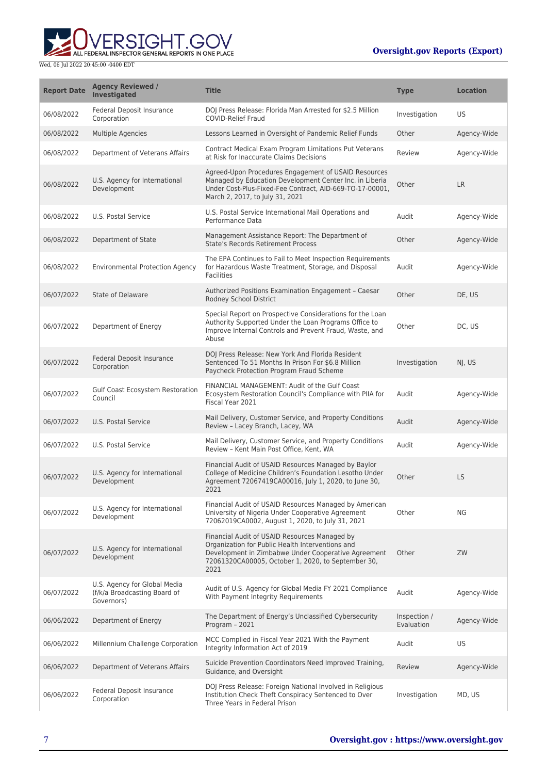

| <b>Report Date</b> | <b>Agency Reviewed /</b><br><b>Investigated</b>                            | <b>Title</b>                                                                                                                                                                                                           | <b>Type</b>                | <b>Location</b> |
|--------------------|----------------------------------------------------------------------------|------------------------------------------------------------------------------------------------------------------------------------------------------------------------------------------------------------------------|----------------------------|-----------------|
| 06/08/2022         | <b>Federal Deposit Insurance</b><br>Corporation                            | DOJ Press Release: Florida Man Arrested for \$2.5 Million<br><b>COVID-Relief Fraud</b>                                                                                                                                 | Investigation              | US              |
| 06/08/2022         | Multiple Agencies                                                          | Lessons Learned in Oversight of Pandemic Relief Funds                                                                                                                                                                  | Other                      | Agency-Wide     |
| 06/08/2022         | Department of Veterans Affairs                                             | Contract Medical Exam Program Limitations Put Veterans<br>at Risk for Inaccurate Claims Decisions                                                                                                                      | Review                     | Agency-Wide     |
| 06/08/2022         | U.S. Agency for International<br>Development                               | Agreed-Upon Procedures Engagement of USAID Resources<br>Managed by Education Development Center Inc. in Liberia<br>Under Cost-Plus-Fixed-Fee Contract, AID-669-TO-17-00001,<br>March 2, 2017, to July 31, 2021         | Other                      | LR              |
| 06/08/2022         | U.S. Postal Service                                                        | U.S. Postal Service International Mail Operations and<br>Performance Data                                                                                                                                              | Audit                      | Agency-Wide     |
| 06/08/2022         | Department of State                                                        | Management Assistance Report: The Department of<br><b>State's Records Retirement Process</b>                                                                                                                           | Other                      | Agency-Wide     |
| 06/08/2022         | <b>Environmental Protection Agency</b>                                     | The EPA Continues to Fail to Meet Inspection Requirements<br>for Hazardous Waste Treatment, Storage, and Disposal<br><b>Facilities</b>                                                                                 | Audit                      | Agency-Wide     |
| 06/07/2022         | State of Delaware                                                          | Authorized Positions Examination Engagement - Caesar<br>Rodney School District                                                                                                                                         | Other                      | DE, US          |
| 06/07/2022         | Department of Energy                                                       | Special Report on Prospective Considerations for the Loan<br>Authority Supported Under the Loan Programs Office to<br>Improve Internal Controls and Prevent Fraud, Waste, and<br>Abuse                                 | Other                      | DC, US          |
| 06/07/2022         | Federal Deposit Insurance<br>Corporation                                   | DOJ Press Release: New York And Florida Resident<br>Sentenced To 51 Months In Prison For \$6.8 Million<br>Paycheck Protection Program Fraud Scheme                                                                     | Investigation              | NJ, US          |
| 06/07/2022         | Gulf Coast Ecosystem Restoration<br>Council                                | FINANCIAL MANAGEMENT: Audit of the Gulf Coast<br>Ecosystem Restoration Council's Compliance with PIIA for<br>Fiscal Year 2021                                                                                          | Audit                      | Agency-Wide     |
| 06/07/2022         | U.S. Postal Service                                                        | Mail Delivery, Customer Service, and Property Conditions<br>Review - Lacey Branch, Lacey, WA                                                                                                                           | Audit                      | Agency-Wide     |
| 06/07/2022         | U.S. Postal Service                                                        | Mail Delivery, Customer Service, and Property Conditions<br>Review - Kent Main Post Office, Kent, WA                                                                                                                   | Audit                      | Agency-Wide     |
| 06/07/2022         | U.S. Agency for International<br>Development                               | Financial Audit of USAID Resources Managed by Baylor<br>College of Medicine Children's Foundation Lesotho Under<br>Agreement 72067419CA00016, July 1, 2020, to June 30,<br>2021                                        | Other                      | <b>LS</b>       |
| 06/07/2022         | U.S. Agency for International<br>Development                               | Financial Audit of USAID Resources Managed by American<br>University of Nigeria Under Cooperative Agreement<br>72062019CA0002, August 1, 2020, to July 31, 2021                                                        | Other                      | <b>NG</b>       |
| 06/07/2022         | U.S. Agency for International<br>Development                               | Financial Audit of USAID Resources Managed by<br>Organization for Public Health Interventions and<br>Development in Zimbabwe Under Cooperative Agreement<br>72061320CA00005, October 1, 2020, to September 30,<br>2021 | Other                      | ZW              |
| 06/07/2022         | U.S. Agency for Global Media<br>(f/k/a Broadcasting Board of<br>Governors) | Audit of U.S. Agency for Global Media FY 2021 Compliance<br>With Payment Integrity Requirements                                                                                                                        | Audit                      | Agency-Wide     |
| 06/06/2022         | Department of Energy                                                       | The Department of Energy's Unclassified Cybersecurity<br>Program - 2021                                                                                                                                                | Inspection /<br>Evaluation | Agency-Wide     |
| 06/06/2022         | Millennium Challenge Corporation                                           | MCC Complied in Fiscal Year 2021 With the Payment<br>Integrity Information Act of 2019                                                                                                                                 | Audit                      | US              |
| 06/06/2022         | Department of Veterans Affairs                                             | Suicide Prevention Coordinators Need Improved Training,<br>Guidance, and Oversight                                                                                                                                     | Review                     | Agency-Wide     |
| 06/06/2022         | Federal Deposit Insurance<br>Corporation                                   | DOJ Press Release: Foreign National Involved in Religious<br>Institution Check Theft Conspiracy Sentenced to Over<br>Three Years in Federal Prison                                                                     | Investigation              | MD, US          |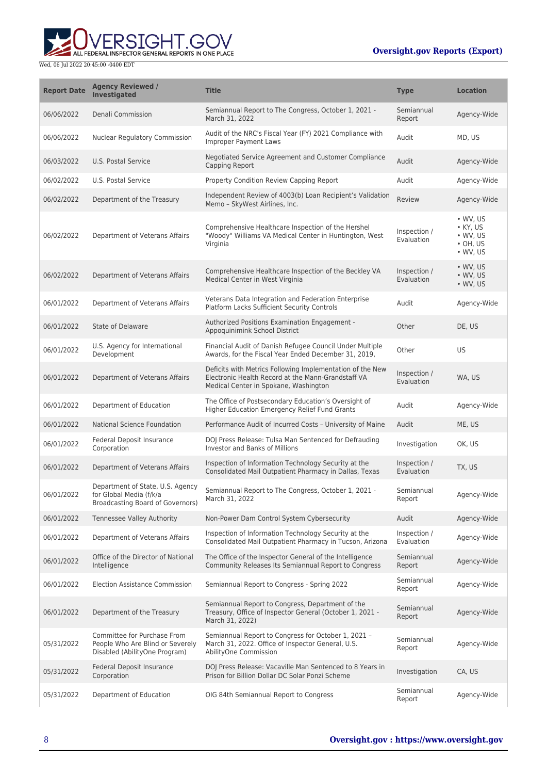

| <b>Report Date</b> | <b>Agency Reviewed /</b><br><b>Investigated</b>                                                  | <b>Title</b>                                                                                                                                             | <b>Type</b>                | <b>Location</b>                                                                    |
|--------------------|--------------------------------------------------------------------------------------------------|----------------------------------------------------------------------------------------------------------------------------------------------------------|----------------------------|------------------------------------------------------------------------------------|
| 06/06/2022         | Denali Commission                                                                                | Semiannual Report to The Congress, October 1, 2021 -<br>March 31, 2022                                                                                   | Semiannual<br>Report       | Agency-Wide                                                                        |
| 06/06/2022         | <b>Nuclear Regulatory Commission</b>                                                             | Audit of the NRC's Fiscal Year (FY) 2021 Compliance with<br><b>Improper Payment Laws</b>                                                                 | Audit                      | MD, US                                                                             |
| 06/03/2022         | U.S. Postal Service                                                                              | Negotiated Service Agreement and Customer Compliance<br>Capping Report                                                                                   | Audit                      | Agency-Wide                                                                        |
| 06/02/2022         | U.S. Postal Service                                                                              | Property Condition Review Capping Report                                                                                                                 | Audit                      | Agency-Wide                                                                        |
| 06/02/2022         | Department of the Treasury                                                                       | Independent Review of 4003(b) Loan Recipient's Validation<br>Memo - SkyWest Airlines, Inc.                                                               | Review                     | Agency-Wide                                                                        |
| 06/02/2022         | Department of Veterans Affairs                                                                   | Comprehensive Healthcare Inspection of the Hershel<br>"Woody" Williams VA Medical Center in Huntington, West<br>Virginia                                 | Inspection /<br>Evaluation | • WV, US<br>$\bullet$ KY, US<br>$\cdot$ WV, US<br>$\cdot$ OH, US<br>$\cdot$ WV, US |
| 06/02/2022         | Department of Veterans Affairs                                                                   | Comprehensive Healthcare Inspection of the Beckley VA<br>Medical Center in West Virginia                                                                 | Inspection /<br>Evaluation | $\bullet$ WV, US<br>$\bullet$ WV, US<br>• WV, US                                   |
| 06/01/2022         | Department of Veterans Affairs                                                                   | Veterans Data Integration and Federation Enterprise<br>Platform Lacks Sufficient Security Controls                                                       | Audit                      | Agency-Wide                                                                        |
| 06/01/2022         | <b>State of Delaware</b>                                                                         | Authorized Positions Examination Engagement -<br>Appoquinimink School District                                                                           | Other                      | DE, US                                                                             |
| 06/01/2022         | U.S. Agency for International<br>Development                                                     | Financial Audit of Danish Refugee Council Under Multiple<br>Awards, for the Fiscal Year Ended December 31, 2019,                                         | Other                      | US                                                                                 |
| 06/01/2022         | Department of Veterans Affairs                                                                   | Deficits with Metrics Following Implementation of the New<br>Electronic Health Record at the Mann-Grandstaff VA<br>Medical Center in Spokane, Washington | Inspection /<br>Evaluation | WA, US                                                                             |
| 06/01/2022         | Department of Education                                                                          | The Office of Postsecondary Education's Oversight of<br>Higher Education Emergency Relief Fund Grants                                                    | Audit                      | Agency-Wide                                                                        |
| 06/01/2022         | National Science Foundation                                                                      | Performance Audit of Incurred Costs - University of Maine                                                                                                | Audit                      | ME, US                                                                             |
| 06/01/2022         | Federal Deposit Insurance<br>Corporation                                                         | DOJ Press Release: Tulsa Man Sentenced for Defrauding<br>Investor and Banks of Millions                                                                  | Investigation              | OK, US                                                                             |
| 06/01/2022         | Department of Veterans Affairs                                                                   | Inspection of Information Technology Security at the<br>Consolidated Mail Outpatient Pharmacy in Dallas, Texas                                           | Inspection /<br>Evaluation | TX, US                                                                             |
| 06/01/2022         | Department of State, U.S. Agency<br>for Global Media (f/k/a<br>Broadcasting Board of Governors)  | Semiannual Report to The Congress, October 1, 2021 -<br>March 31, 2022                                                                                   | Semiannual<br>Report       | Agency-Wide                                                                        |
| 06/01/2022         | <b>Tennessee Valley Authority</b>                                                                | Non-Power Dam Control System Cybersecurity                                                                                                               | Audit                      | Agency-Wide                                                                        |
| 06/01/2022         | Department of Veterans Affairs                                                                   | Inspection of Information Technology Security at the<br>Consolidated Mail Outpatient Pharmacy in Tucson, Arizona                                         | Inspection /<br>Evaluation | Agency-Wide                                                                        |
| 06/01/2022         | Office of the Director of National<br>Intelligence                                               | The Office of the Inspector General of the Intelligence<br>Community Releases Its Semiannual Report to Congress                                          | Semiannual<br>Report       | Agency-Wide                                                                        |
| 06/01/2022         | <b>Election Assistance Commission</b>                                                            | Semiannual Report to Congress - Spring 2022                                                                                                              | Semiannual<br>Report       | Agency-Wide                                                                        |
| 06/01/2022         | Department of the Treasury                                                                       | Semiannual Report to Congress, Department of the<br>Treasury, Office of Inspector General (October 1, 2021 -<br>March 31, 2022)                          | Semiannual<br>Report       | Agency-Wide                                                                        |
| 05/31/2022         | Committee for Purchase From<br>People Who Are Blind or Severely<br>Disabled (AbilityOne Program) | Semiannual Report to Congress for October 1, 2021 -<br>March 31, 2022. Office of Inspector General, U.S.<br>AbilityOne Commission                        | Semiannual<br>Report       | Agency-Wide                                                                        |
| 05/31/2022         | Federal Deposit Insurance<br>Corporation                                                         | DOJ Press Release: Vacaville Man Sentenced to 8 Years in<br>Prison for Billion Dollar DC Solar Ponzi Scheme                                              | Investigation              | CA, US                                                                             |
| 05/31/2022         | Department of Education                                                                          | OIG 84th Semiannual Report to Congress                                                                                                                   | Semiannual<br>Report       | Agency-Wide                                                                        |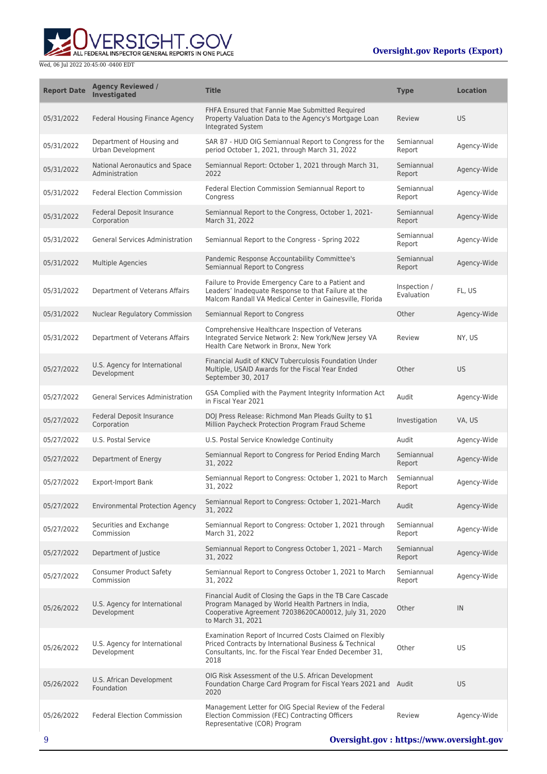

| <b>Report Date</b> | <b>Agency Reviewed /</b><br><b>Investigated</b>  | <b>Title</b>                                                                                                                                                                                  | <b>Type</b>                | <b>Location</b> |
|--------------------|--------------------------------------------------|-----------------------------------------------------------------------------------------------------------------------------------------------------------------------------------------------|----------------------------|-----------------|
| 05/31/2022         | Federal Housing Finance Agency                   | FHFA Ensured that Fannie Mae Submitted Required<br>Property Valuation Data to the Agency's Mortgage Loan<br>Integrated System                                                                 | Review                     | <b>US</b>       |
| 05/31/2022         | Department of Housing and<br>Urban Development   | SAR 87 - HUD OIG Semiannual Report to Congress for the<br>period October 1, 2021, through March 31, 2022                                                                                      | Semiannual<br>Report       | Agency-Wide     |
| 05/31/2022         | National Aeronautics and Space<br>Administration | Semiannual Report: October 1, 2021 through March 31,<br>2022                                                                                                                                  | Semiannual<br>Report       | Agency-Wide     |
| 05/31/2022         | <b>Federal Election Commission</b>               | Federal Election Commission Semiannual Report to<br>Congress                                                                                                                                  | Semiannual<br>Report       | Agency-Wide     |
| 05/31/2022         | Federal Deposit Insurance<br>Corporation         | Semiannual Report to the Congress, October 1, 2021-<br>March 31, 2022                                                                                                                         | Semiannual<br>Report       | Agency-Wide     |
| 05/31/2022         | <b>General Services Administration</b>           | Semiannual Report to the Congress - Spring 2022                                                                                                                                               | Semiannual<br>Report       | Agency-Wide     |
| 05/31/2022         | <b>Multiple Agencies</b>                         | Pandemic Response Accountability Committee's<br>Semiannual Report to Congress                                                                                                                 | Semiannual<br>Report       | Agency-Wide     |
| 05/31/2022         | Department of Veterans Affairs                   | Failure to Provide Emergency Care to a Patient and<br>Leaders' Inadequate Response to that Failure at the<br>Malcom Randall VA Medical Center in Gainesville, Florida                         | Inspection /<br>Evaluation | FL, US          |
| 05/31/2022         | Nuclear Regulatory Commission                    | Semiannual Report to Congress                                                                                                                                                                 | Other                      | Agency-Wide     |
| 05/31/2022         | Department of Veterans Affairs                   | Comprehensive Healthcare Inspection of Veterans<br>Integrated Service Network 2: New York/New Jersey VA<br>Health Care Network in Bronx, New York                                             | Review                     | NY, US          |
| 05/27/2022         | U.S. Agency for International<br>Development     | Financial Audit of KNCV Tuberculosis Foundation Under<br>Multiple, USAID Awards for the Fiscal Year Ended<br>September 30, 2017                                                               | Other                      | <b>US</b>       |
| 05/27/2022         | <b>General Services Administration</b>           | GSA Complied with the Payment Integrity Information Act<br>in Fiscal Year 2021                                                                                                                | Audit                      | Agency-Wide     |
| 05/27/2022         | Federal Deposit Insurance<br>Corporation         | DOJ Press Release: Richmond Man Pleads Guilty to \$1<br>Million Paycheck Protection Program Fraud Scheme                                                                                      | Investigation              | VA, US          |
| 05/27/2022         | U.S. Postal Service                              | U.S. Postal Service Knowledge Continuity                                                                                                                                                      | Audit                      | Agency-Wide     |
| 05/27/2022         | Department of Energy                             | Semiannual Report to Congress for Period Ending March<br>31, 2022                                                                                                                             | Semiannual<br>Report       | Agency-Wide     |
| 05/27/2022         | <b>Export-Import Bank</b>                        | Semiannual Report to Congress: October 1, 2021 to March<br>31, 2022                                                                                                                           | Semiannual<br>Report       | Agency-Wide     |
| 05/27/2022         | <b>Environmental Protection Agency</b>           | Semiannual Report to Congress: October 1, 2021-March<br>31, 2022                                                                                                                              | Audit                      | Agency-Wide     |
| 05/27/2022         | Securities and Exchange<br>Commission            | Semiannual Report to Congress: October 1, 2021 through<br>March 31, 2022                                                                                                                      | Semiannual<br>Report       | Agency-Wide     |
| 05/27/2022         | Department of Justice                            | Semiannual Report to Congress October 1, 2021 - March<br>31, 2022                                                                                                                             | Semiannual<br>Report       | Agency-Wide     |
| 05/27/2022         | <b>Consumer Product Safety</b><br>Commission     | Semiannual Report to Congress October 1, 2021 to March<br>31, 2022                                                                                                                            | Semiannual<br>Report       | Agency-Wide     |
| 05/26/2022         | U.S. Agency for International<br>Development     | Financial Audit of Closing the Gaps in the TB Care Cascade<br>Program Managed by World Health Partners in India,<br>Cooperative Agreement 72038620CA00012, July 31, 2020<br>to March 31, 2021 | Other                      | IN              |
| 05/26/2022         | U.S. Agency for International<br>Development     | Examination Report of Incurred Costs Claimed on Flexibly<br>Priced Contracts by International Business & Technical<br>Consultants, Inc. for the Fiscal Year Ended December 31,<br>2018        | Other                      | US              |
| 05/26/2022         | U.S. African Development<br>Foundation           | OIG Risk Assessment of the U.S. African Development<br>Foundation Charge Card Program for Fiscal Years 2021 and Audit<br>2020                                                                 |                            | US.             |
| 05/26/2022         | <b>Federal Election Commission</b>               | Management Letter for OIG Special Review of the Federal<br>Election Commission (FEC) Contracting Officers<br>Representative (COR) Program                                                     | Review                     | Agency-Wide     |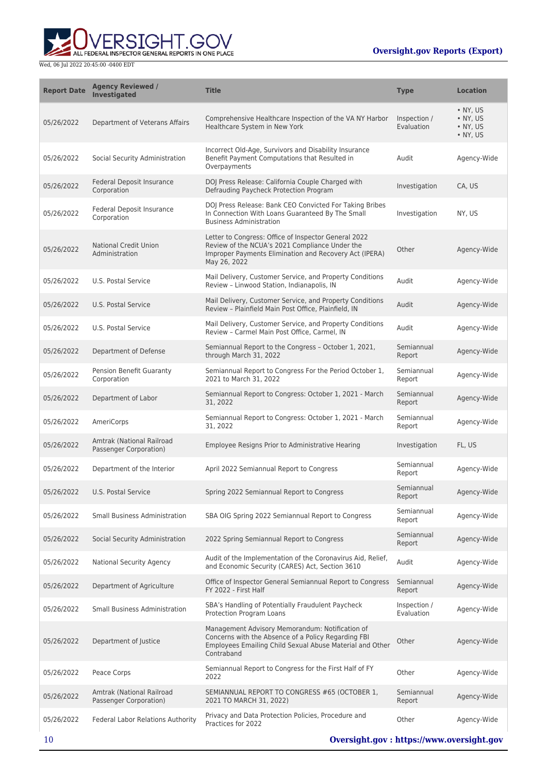ERSIGHT.GOV ALL FEDERAL INSPECTOR GENERAL REPORTS IN ONE PLACE

| <b>Report Date</b> | <b>Agency Reviewed /</b><br><b>Investigated</b>     | <b>Title</b>                                                                                                                                                                     | <b>Type</b>                | <b>Location</b>                                                      |
|--------------------|-----------------------------------------------------|----------------------------------------------------------------------------------------------------------------------------------------------------------------------------------|----------------------------|----------------------------------------------------------------------|
| 05/26/2022         | Department of Veterans Affairs                      | Comprehensive Healthcare Inspection of the VA NY Harbor<br>Healthcare System in New York                                                                                         | Inspection /<br>Evaluation | $\bullet$ NY, US<br>$\bullet$ NY, US<br>$\bullet$ NY, US<br>• NY, US |
| 05/26/2022         | Social Security Administration                      | Incorrect Old-Age, Survivors and Disability Insurance<br>Benefit Payment Computations that Resulted in<br>Overpayments                                                           | Audit                      | Agency-Wide                                                          |
| 05/26/2022         | Federal Deposit Insurance<br>Corporation            | DOJ Press Release: California Couple Charged with<br>Defrauding Paycheck Protection Program                                                                                      | Investigation              | CA, US                                                               |
| 05/26/2022         | <b>Federal Deposit Insurance</b><br>Corporation     | DOJ Press Release: Bank CEO Convicted For Taking Bribes<br>In Connection With Loans Guaranteed By The Small<br><b>Business Administration</b>                                    | Investigation              | NY, US                                                               |
| 05/26/2022         | <b>National Credit Union</b><br>Administration      | Letter to Congress: Office of Inspector General 2022<br>Review of the NCUA's 2021 Compliance Under the<br>Improper Payments Elimination and Recovery Act (IPERA)<br>May 26, 2022 | Other                      | Agency-Wide                                                          |
| 05/26/2022         | U.S. Postal Service                                 | Mail Delivery, Customer Service, and Property Conditions<br>Review - Linwood Station, Indianapolis, IN                                                                           | Audit                      | Agency-Wide                                                          |
| 05/26/2022         | U.S. Postal Service                                 | Mail Delivery, Customer Service, and Property Conditions<br>Review - Plainfield Main Post Office, Plainfield, IN                                                                 | Audit                      | Agency-Wide                                                          |
| 05/26/2022         | U.S. Postal Service                                 | Mail Delivery, Customer Service, and Property Conditions<br>Review - Carmel Main Post Office, Carmel, IN                                                                         | Audit                      | Agency-Wide                                                          |
| 05/26/2022         | Department of Defense                               | Semiannual Report to the Congress - October 1, 2021,<br>through March 31, 2022                                                                                                   | Semiannual<br>Report       | Agency-Wide                                                          |
| 05/26/2022         | Pension Benefit Guaranty<br>Corporation             | Semiannual Report to Congress For the Period October 1,<br>2021 to March 31, 2022                                                                                                | Semiannual<br>Report       | Agency-Wide                                                          |
| 05/26/2022         | Department of Labor                                 | Semiannual Report to Congress: October 1, 2021 - March<br>31, 2022                                                                                                               | Semiannual<br>Report       | Agency-Wide                                                          |
| 05/26/2022         | AmeriCorps                                          | Semiannual Report to Congress: October 1, 2021 - March<br>31, 2022                                                                                                               | Semiannual<br>Report       | Agency-Wide                                                          |
| 05/26/2022         | Amtrak (National Railroad<br>Passenger Corporation) | Employee Resigns Prior to Administrative Hearing                                                                                                                                 | Investigation              | FL, US                                                               |
| 05/26/2022         | Department of the Interior                          | April 2022 Semiannual Report to Congress                                                                                                                                         | Semiannual<br>Report       | Agency-Wide                                                          |
| 05/26/2022         | U.S. Postal Service                                 | Spring 2022 Semiannual Report to Congress                                                                                                                                        | Semiannual<br>Report       | Agency-Wide                                                          |
| 05/26/2022         | Small Business Administration                       | SBA OIG Spring 2022 Semiannual Report to Congress                                                                                                                                | Semiannual<br>Report       | Agency-Wide                                                          |
| 05/26/2022         | Social Security Administration                      | 2022 Spring Semiannual Report to Congress                                                                                                                                        | Semiannual<br>Report       | Agency-Wide                                                          |
| 05/26/2022         | <b>National Security Agency</b>                     | Audit of the Implementation of the Coronavirus Aid, Relief,<br>and Economic Security (CARES) Act, Section 3610                                                                   | Audit                      | Agency-Wide                                                          |
| 05/26/2022         | Department of Agriculture                           | Office of Inspector General Semiannual Report to Congress<br>FY 2022 - First Half                                                                                                | Semiannual<br>Report       | Agency-Wide                                                          |
| 05/26/2022         | <b>Small Business Administration</b>                | SBA's Handling of Potentially Fraudulent Paycheck<br>Protection Program Loans                                                                                                    | Inspection /<br>Evaluation | Agency-Wide                                                          |
| 05/26/2022         | Department of Justice                               | Management Advisory Memorandum: Notification of<br>Concerns with the Absence of a Policy Regarding FBI<br>Employees Emailing Child Sexual Abuse Material and Other<br>Contraband | Other                      | Agency-Wide                                                          |
| 05/26/2022         | Peace Corps                                         | Semiannual Report to Congress for the First Half of FY<br>2022                                                                                                                   | Other                      | Agency-Wide                                                          |
| 05/26/2022         | Amtrak (National Railroad<br>Passenger Corporation) | SEMIANNUAL REPORT TO CONGRESS #65 (OCTOBER 1,<br>2021 TO MARCH 31, 2022)                                                                                                         | Semiannual<br>Report       | Agency-Wide                                                          |
| 05/26/2022         | Federal Labor Relations Authority                   | Privacy and Data Protection Policies, Procedure and<br>Practices for 2022                                                                                                        | Other                      | Agency-Wide                                                          |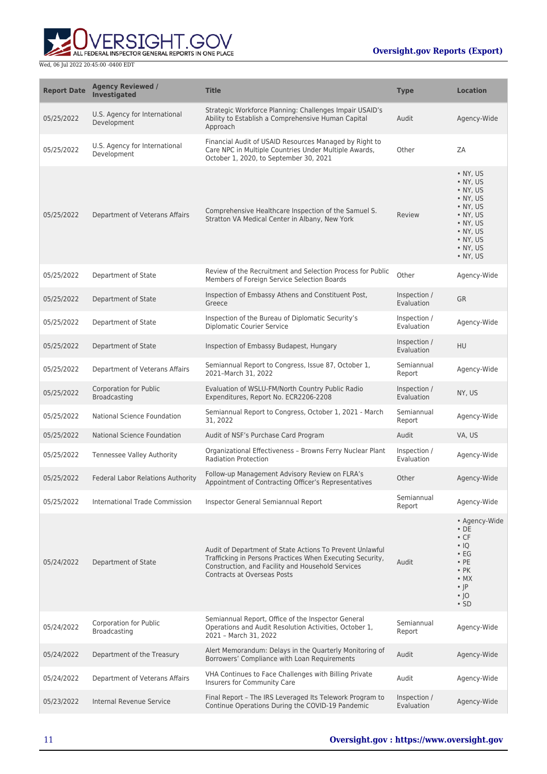

| <b>Report Date</b> | <b>Agency Reviewed /</b><br><b>Investigated</b> | <b>Title</b>                                                                                                                                                                                              | <b>Type</b>                | <b>Location</b>                                                                                                                                                          |
|--------------------|-------------------------------------------------|-----------------------------------------------------------------------------------------------------------------------------------------------------------------------------------------------------------|----------------------------|--------------------------------------------------------------------------------------------------------------------------------------------------------------------------|
| 05/25/2022         | U.S. Agency for International<br>Development    | Strategic Workforce Planning: Challenges Impair USAID's<br>Ability to Establish a Comprehensive Human Capital<br>Approach                                                                                 | Audit                      | Agency-Wide                                                                                                                                                              |
| 05/25/2022         | U.S. Agency for International<br>Development    | Financial Audit of USAID Resources Managed by Right to<br>Care NPC in Multiple Countries Under Multiple Awards,<br>October 1, 2020, to September 30, 2021                                                 | Other                      | ZA                                                                                                                                                                       |
| 05/25/2022         | Department of Veterans Affairs                  | Comprehensive Healthcare Inspection of the Samuel S.<br>Stratton VA Medical Center in Albany, New York                                                                                                    | Review                     | • NY, US<br>• NY, US<br>• NY, US<br>$\bullet$ NY, US<br>• NY, US<br>$\bullet$ NY, US<br>$\bullet$ NY, US<br>$\bullet$ NY, US<br>$\bullet$ NY, US<br>• NY, US<br>• NY, US |
| 05/25/2022         | Department of State                             | Review of the Recruitment and Selection Process for Public<br>Members of Foreign Service Selection Boards                                                                                                 | Other                      | Agency-Wide                                                                                                                                                              |
| 05/25/2022         | Department of State                             | Inspection of Embassy Athens and Constituent Post,<br>Greece                                                                                                                                              | Inspection /<br>Evaluation | <b>GR</b>                                                                                                                                                                |
| 05/25/2022         | Department of State                             | Inspection of the Bureau of Diplomatic Security's<br><b>Diplomatic Courier Service</b>                                                                                                                    | Inspection /<br>Evaluation | Agency-Wide                                                                                                                                                              |
| 05/25/2022         | Department of State                             | Inspection of Embassy Budapest, Hungary                                                                                                                                                                   | Inspection /<br>Evaluation | <b>HU</b>                                                                                                                                                                |
| 05/25/2022         | Department of Veterans Affairs                  | Semiannual Report to Congress, Issue 87, October 1,<br>2021-March 31, 2022                                                                                                                                | Semiannual<br>Report       | Agency-Wide                                                                                                                                                              |
| 05/25/2022         | <b>Corporation for Public</b><br>Broadcasting   | Evaluation of WSLU-FM/North Country Public Radio<br>Expenditures, Report No. ECR2206-2208                                                                                                                 | Inspection /<br>Evaluation | NY, US                                                                                                                                                                   |
| 05/25/2022         | National Science Foundation                     | Semiannual Report to Congress, October 1, 2021 - March<br>31, 2022                                                                                                                                        | Semiannual<br>Report       | Agency-Wide                                                                                                                                                              |
| 05/25/2022         | <b>National Science Foundation</b>              | Audit of NSF's Purchase Card Program                                                                                                                                                                      | Audit                      | VA, US                                                                                                                                                                   |
| 05/25/2022         | Tennessee Valley Authority                      | Organizational Effectiveness - Browns Ferry Nuclear Plant<br><b>Radiation Protection</b>                                                                                                                  | Inspection /<br>Evaluation | Agency-Wide                                                                                                                                                              |
| 05/25/2022         | Federal Labor Relations Authority               | Follow-up Management Advisory Review on FLRA's<br>Appointment of Contracting Officer's Representatives                                                                                                    | Other                      | Agency-Wide                                                                                                                                                              |
| 05/25/2022         | International Trade Commission                  | Inspector General Semiannual Report                                                                                                                                                                       | Semiannual<br>Report       | Agency-Wide                                                                                                                                                              |
| 05/24/2022         | Department of State                             | Audit of Department of State Actions To Prevent Unlawful<br>Trafficking in Persons Practices When Executing Security,<br>Construction, and Facility and Household Services<br>Contracts at Overseas Posts | Audit                      | • Agency-Wide<br>$\cdot$ DE<br>$\cdot$ CF<br>$\cdot$ IQ<br>$\cdot$ EG<br>$\cdot$ PE<br>$\cdot$ PK<br>$\bullet$ MX<br>$\cdot$  P<br>∙ ∣0<br>$\cdot$ SD                    |
| 05/24/2022         | Corporation for Public<br>Broadcasting          | Semiannual Report, Office of the Inspector General<br>Operations and Audit Resolution Activities, October 1,<br>2021 - March 31, 2022                                                                     | Semiannual<br>Report       | Agency-Wide                                                                                                                                                              |
| 05/24/2022         | Department of the Treasury                      | Alert Memorandum: Delays in the Quarterly Monitoring of<br>Borrowers' Compliance with Loan Requirements                                                                                                   | Audit                      | Agency-Wide                                                                                                                                                              |
| 05/24/2022         | Department of Veterans Affairs                  | VHA Continues to Face Challenges with Billing Private<br>Insurers for Community Care                                                                                                                      | Audit                      | Agency-Wide                                                                                                                                                              |
| 05/23/2022         | Internal Revenue Service                        | Final Report - The IRS Leveraged Its Telework Program to<br>Continue Operations During the COVID-19 Pandemic                                                                                              | Inspection /<br>Evaluation | Agency-Wide                                                                                                                                                              |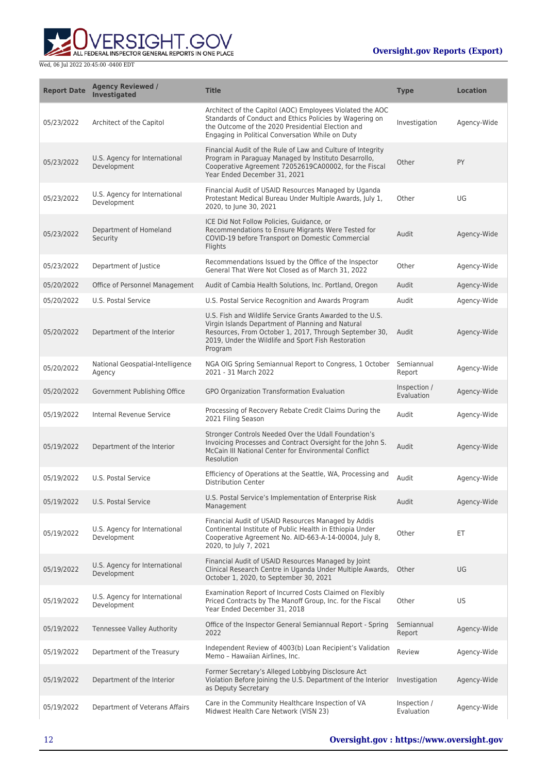

| <b>Report Date</b> | <b>Agency Reviewed /</b><br><b>Investigated</b> | <b>Title</b>                                                                                                                                                                                                                               | <b>Type</b>                | <b>Location</b> |
|--------------------|-------------------------------------------------|--------------------------------------------------------------------------------------------------------------------------------------------------------------------------------------------------------------------------------------------|----------------------------|-----------------|
| 05/23/2022         | Architect of the Capitol                        | Architect of the Capitol (AOC) Employees Violated the AOC<br>Standards of Conduct and Ethics Policies by Wagering on<br>the Outcome of the 2020 Presidential Election and<br>Engaging in Political Conversation While on Duty              | Investigation              | Agency-Wide     |
| 05/23/2022         | U.S. Agency for International<br>Development    | Financial Audit of the Rule of Law and Culture of Integrity<br>Program in Paraguay Managed by Instituto Desarrollo,<br>Cooperative Agreement 72052619CA00002, for the Fiscal<br>Year Ended December 31, 2021                               | Other                      | PY              |
| 05/23/2022         | U.S. Agency for International<br>Development    | Financial Audit of USAID Resources Managed by Uganda<br>Protestant Medical Bureau Under Multiple Awards, July 1,<br>2020, to June 30, 2021                                                                                                 | Other                      | UG              |
| 05/23/2022         | Department of Homeland<br>Security              | ICE Did Not Follow Policies, Guidance, or<br>Recommendations to Ensure Migrants Were Tested for<br>COVID-19 before Transport on Domestic Commercial<br>Flights                                                                             | Audit                      | Agency-Wide     |
| 05/23/2022         | Department of Justice                           | Recommendations Issued by the Office of the Inspector<br>General That Were Not Closed as of March 31, 2022                                                                                                                                 | Other                      | Agency-Wide     |
| 05/20/2022         | Office of Personnel Management                  | Audit of Cambia Health Solutions, Inc. Portland, Oregon                                                                                                                                                                                    | Audit                      | Agency-Wide     |
| 05/20/2022         | U.S. Postal Service                             | U.S. Postal Service Recognition and Awards Program                                                                                                                                                                                         | Audit                      | Agency-Wide     |
| 05/20/2022         | Department of the Interior                      | U.S. Fish and Wildlife Service Grants Awarded to the U.S.<br>Virgin Islands Department of Planning and Natural<br>Resources, From October 1, 2017, Through September 30,<br>2019, Under the Wildlife and Sport Fish Restoration<br>Program | Audit                      | Agency-Wide     |
| 05/20/2022         | National Geospatial-Intelligence<br>Agency      | NGA OIG Spring Semiannual Report to Congress, 1 October<br>2021 - 31 March 2022                                                                                                                                                            | Semiannual<br>Report       | Agency-Wide     |
| 05/20/2022         | Government Publishing Office                    | GPO Organization Transformation Evaluation                                                                                                                                                                                                 | Inspection /<br>Evaluation | Agency-Wide     |
| 05/19/2022         | Internal Revenue Service                        | Processing of Recovery Rebate Credit Claims During the<br>2021 Filing Season                                                                                                                                                               | Audit                      | Agency-Wide     |
| 05/19/2022         | Department of the Interior                      | Stronger Controls Needed Over the Udall Foundation's<br>Invoicing Processes and Contract Oversight for the John S.<br>McCain III National Center for Environmental Conflict<br>Resolution                                                  | Audit                      | Agency-Wide     |
| 05/19/2022         | U.S. Postal Service                             | Efficiency of Operations at the Seattle, WA, Processing and<br><b>Distribution Center</b>                                                                                                                                                  | Audit                      | Agency-Wide     |
| 05/19/2022         | U.S. Postal Service                             | U.S. Postal Service's Implementation of Enterprise Risk<br>Management                                                                                                                                                                      | Audit                      | Agency-Wide     |
| 05/19/2022         | U.S. Agency for International<br>Development    | Financial Audit of USAID Resources Managed by Addis<br>Continental Institute of Public Health in Ethiopia Under<br>Cooperative Agreement No. AID-663-A-14-00004, July 8,<br>2020, to July 7, 2021                                          | Other                      | ET              |
| 05/19/2022         | U.S. Agency for International<br>Development    | Financial Audit of USAID Resources Managed by Joint<br>Clinical Research Centre in Uganda Under Multiple Awards,<br>October 1, 2020, to September 30, 2021                                                                                 | Other                      | UG              |
| 05/19/2022         | U.S. Agency for International<br>Development    | Examination Report of Incurred Costs Claimed on Flexibly<br>Priced Contracts by The Manoff Group, Inc. for the Fiscal<br>Year Ended December 31, 2018                                                                                      | Other                      | US              |
| 05/19/2022         | <b>Tennessee Valley Authority</b>               | Office of the Inspector General Semiannual Report - Spring<br>2022                                                                                                                                                                         | Semiannual<br>Report       | Agency-Wide     |
| 05/19/2022         | Department of the Treasury                      | Independent Review of 4003(b) Loan Recipient's Validation<br>Memo - Hawaiian Airlines, Inc.                                                                                                                                                | Review                     | Agency-Wide     |
| 05/19/2022         | Department of the Interior                      | Former Secretary's Alleged Lobbying Disclosure Act<br>Violation Before Joining the U.S. Department of the Interior<br>as Deputy Secretary                                                                                                  | Investigation              | Agency-Wide     |
| 05/19/2022         | Department of Veterans Affairs                  | Care in the Community Healthcare Inspection of VA<br>Midwest Health Care Network (VISN 23)                                                                                                                                                 | Inspection /<br>Evaluation | Agency-Wide     |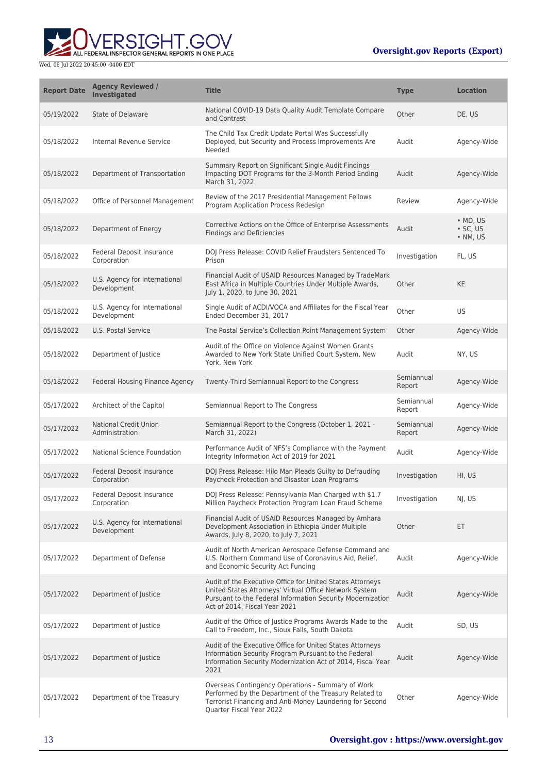

| <b>Report Date</b> | <b>Agency Reviewed /</b><br>Investigated        | <b>Title</b>                                                                                                                                                                                                       | <b>Type</b>          | <b>Location</b>                                |
|--------------------|-------------------------------------------------|--------------------------------------------------------------------------------------------------------------------------------------------------------------------------------------------------------------------|----------------------|------------------------------------------------|
| 05/19/2022         | State of Delaware                               | National COVID-19 Data Quality Audit Template Compare<br>and Contrast                                                                                                                                              | Other                | DE, US                                         |
| 05/18/2022         | Internal Revenue Service                        | The Child Tax Credit Update Portal Was Successfully<br>Deployed, but Security and Process Improvements Are<br>Needed                                                                                               | Audit                | Agency-Wide                                    |
| 05/18/2022         | Department of Transportation                    | Summary Report on Significant Single Audit Findings<br>Impacting DOT Programs for the 3-Month Period Ending<br>March 31, 2022                                                                                      | Audit                | Agency-Wide                                    |
| 05/18/2022         | Office of Personnel Management                  | Review of the 2017 Presidential Management Fellows<br>Program Application Process Redesign                                                                                                                         | Review               | Agency-Wide                                    |
| 05/18/2022         | Department of Energy                            | Corrective Actions on the Office of Enterprise Assessments<br><b>Findings and Deficiencies</b>                                                                                                                     | Audit                | $\bullet$ MD, US<br>$\cdot$ SC, US<br>• NM, US |
| 05/18/2022         | Federal Deposit Insurance<br>Corporation        | DOJ Press Release: COVID Relief Fraudsters Sentenced To<br>Prison                                                                                                                                                  | Investigation        | FL, US                                         |
| 05/18/2022         | U.S. Agency for International<br>Development    | Financial Audit of USAID Resources Managed by TradeMark<br>East Africa in Multiple Countries Under Multiple Awards,<br>July 1, 2020, to June 30, 2021                                                              | Other                | <b>KE</b>                                      |
| 05/18/2022         | U.S. Agency for International<br>Development    | Single Audit of ACDI/VOCA and Affiliates for the Fiscal Year<br>Ended December 31, 2017                                                                                                                            | Other                | US                                             |
| 05/18/2022         | U.S. Postal Service                             | The Postal Service's Collection Point Management System                                                                                                                                                            | Other                | Agency-Wide                                    |
| 05/18/2022         | Department of Justice                           | Audit of the Office on Violence Against Women Grants<br>Awarded to New York State Unified Court System, New<br>York, New York                                                                                      | Audit                | NY, US                                         |
| 05/18/2022         | Federal Housing Finance Agency                  | Twenty-Third Semiannual Report to the Congress                                                                                                                                                                     | Semiannual<br>Report | Agency-Wide                                    |
| 05/17/2022         | Architect of the Capitol                        | Semiannual Report to The Congress                                                                                                                                                                                  | Semiannual<br>Report | Agency-Wide                                    |
| 05/17/2022         | <b>National Credit Union</b><br>Administration  | Semiannual Report to the Congress (October 1, 2021 -<br>March 31, 2022)                                                                                                                                            | Semiannual<br>Report | Agency-Wide                                    |
| 05/17/2022         | National Science Foundation                     | Performance Audit of NFS's Compliance with the Payment<br>Integrity Information Act of 2019 for 2021                                                                                                               | Audit                | Agency-Wide                                    |
| 05/17/2022         | <b>Federal Deposit Insurance</b><br>Corporation | DOJ Press Release: Hilo Man Pleads Guilty to Defrauding<br>Paycheck Protection and Disaster Loan Programs                                                                                                          | Investigation        | HI, US                                         |
| 05/17/2022         | Federal Deposit Insurance<br>Corporation        | DOJ Press Release: Pennsylvania Man Charged with \$1.7<br>Million Paycheck Protection Program Loan Fraud Scheme                                                                                                    | Investigation        | NJ, US                                         |
| 05/17/2022         | U.S. Agency for International<br>Development    | Financial Audit of USAID Resources Managed by Amhara<br>Development Association in Ethiopia Under Multiple<br>Awards, July 8, 2020, to July 7, 2021                                                                | Other                | ET.                                            |
| 05/17/2022         | Department of Defense                           | Audit of North American Aerospace Defense Command and<br>U.S. Northern Command Use of Coronavirus Aid, Relief,<br>and Economic Security Act Funding                                                                | Audit                | Agency-Wide                                    |
| 05/17/2022         | Department of Justice                           | Audit of the Executive Office for United States Attorneys<br>United States Attorneys' Virtual Office Network System<br>Pursuant to the Federal Information Security Modernization<br>Act of 2014, Fiscal Year 2021 | Audit                | Agency-Wide                                    |
| 05/17/2022         | Department of Justice                           | Audit of the Office of Justice Programs Awards Made to the<br>Call to Freedom, Inc., Sioux Falls, South Dakota                                                                                                     | Audit                | SD, US                                         |
| 05/17/2022         | Department of Justice                           | Audit of the Executive Office for United States Attorneys<br>Information Security Program Pursuant to the Federal<br>Information Security Modernization Act of 2014, Fiscal Year<br>2021                           | Audit                | Agency-Wide                                    |
| 05/17/2022         | Department of the Treasury                      | Overseas Contingency Operations - Summary of Work<br>Performed by the Department of the Treasury Related to<br>Terrorist Financing and Anti-Money Laundering for Second<br>Quarter Fiscal Year 2022                | Other                | Agency-Wide                                    |